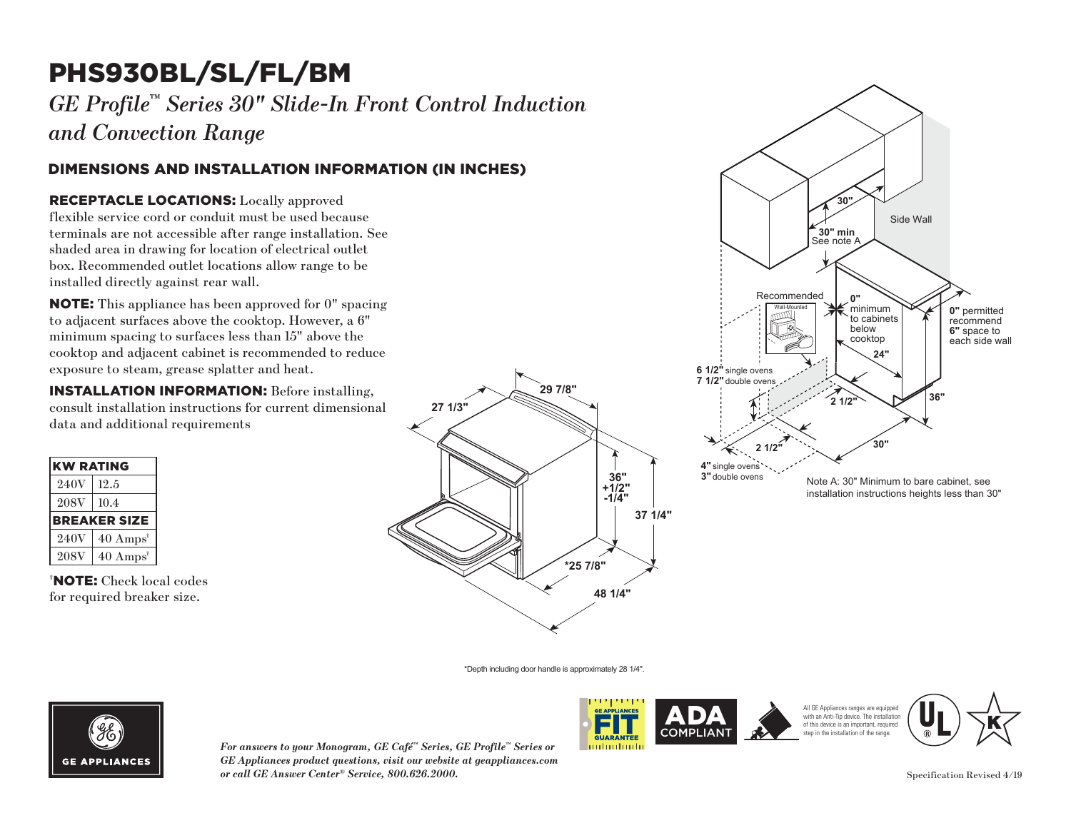# PHS930BL/SL/FL/BM

*GE Profile™ Series 30" Slide-In Front Control Induction and Convection Range*

### DIMENSIONS AND INSTALLATION INFORMATION (IN INCHES)

#### RECEPTACLE LOCATIONS: Locally approved **30"**

flexible service cord or conduit must be used because terminals are not accessible after range installation. See shaded area in drawing for location of electrical outlet box. Recommended outlet locations allow range to be installed directly against rear wall. divided be<br>the used because<br>the used because<br>f electrical outlet<br>allow range to be essible a

**NOTE:** This appliance has been approved for 0" spacing to adjacent surfaces above the cooktop. However, a  $6"$ to define same to surfaces less than 15" above the minimum spacing to surfaces less than 15" above the cooktop and adjacent cabinet is recommended to reduce **24"** exposure to steam, grease splatter and heat.  $penap$ **7 1/2"**

**INSTALLATION INFORMATION:** Before installing, **21/21/21/21/21 International consult installation instructions for current dimensional** data and additional requirements

| <b>KW RATING</b>    |                             |
|---------------------|-----------------------------|
| 240V                | 12.5                        |
| 208V                | 10.4                        |
| <b>BREAKER SIZE</b> |                             |
| 240V                | $40 \text{ Amps}^{\dagger}$ |
| <b>208V</b>         | $40 \text{ Amps}^{\dagger}$ |

† NOTE: Check local codes for required breaker size.





\*Depth including door handle is approximately 28 1/4".



*For answers to your Monogram, GE Café™ Series, GE Profile™ Series or GE Appliances product questions, visit our website at geappliances.com or call GE Answer Center® Service, 800.626.2000.*